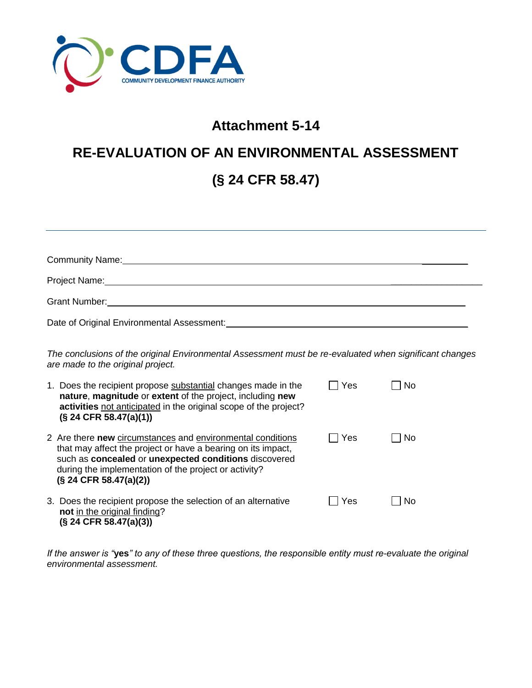

## **Attachment 5-14**

## **RE-EVALUATION OF AN ENVIRONMENTAL ASSESSMENT (§ 24 CFR 58.47)**

| Community Name: Name: Name of the Community Name: Name of the Community Name of the Community of the Community O                            |                                                                                                                                                                                                                                                                          |                       |    |
|---------------------------------------------------------------------------------------------------------------------------------------------|--------------------------------------------------------------------------------------------------------------------------------------------------------------------------------------------------------------------------------------------------------------------------|-----------------------|----|
|                                                                                                                                             |                                                                                                                                                                                                                                                                          |                       |    |
|                                                                                                                                             |                                                                                                                                                                                                                                                                          |                       |    |
|                                                                                                                                             |                                                                                                                                                                                                                                                                          |                       |    |
| The conclusions of the original Environmental Assessment must be re-evaluated when significant changes<br>are made to the original project. |                                                                                                                                                                                                                                                                          |                       |    |
|                                                                                                                                             | 1. Does the recipient propose substantial changes made in the<br>nature, magnitude or extent of the project, including new<br>activities not anticipated in the original scope of the project?<br>$(S$ 24 CFR 58.47(a)(1))                                               | Yes<br>$\blacksquare$ | No |
|                                                                                                                                             | 2 Are there new circumstances and environmental conditions<br>that may affect the project or have a bearing on its impact,<br>such as concealed or unexpected conditions discovered<br>during the implementation of the project or activity?<br>$(S$ 24 CFR 58.47(a)(2)) | Yes                   | No |
|                                                                                                                                             | 3. Does the recipient propose the selection of an alternative<br>not in the original finding?<br>$(S$ 24 CFR 58.47(a)(3))                                                                                                                                                | Yes                   | No |

*If the answer is "***yes***" to any of these three questions, the responsible entity must re-evaluate the original environmental assessment.*